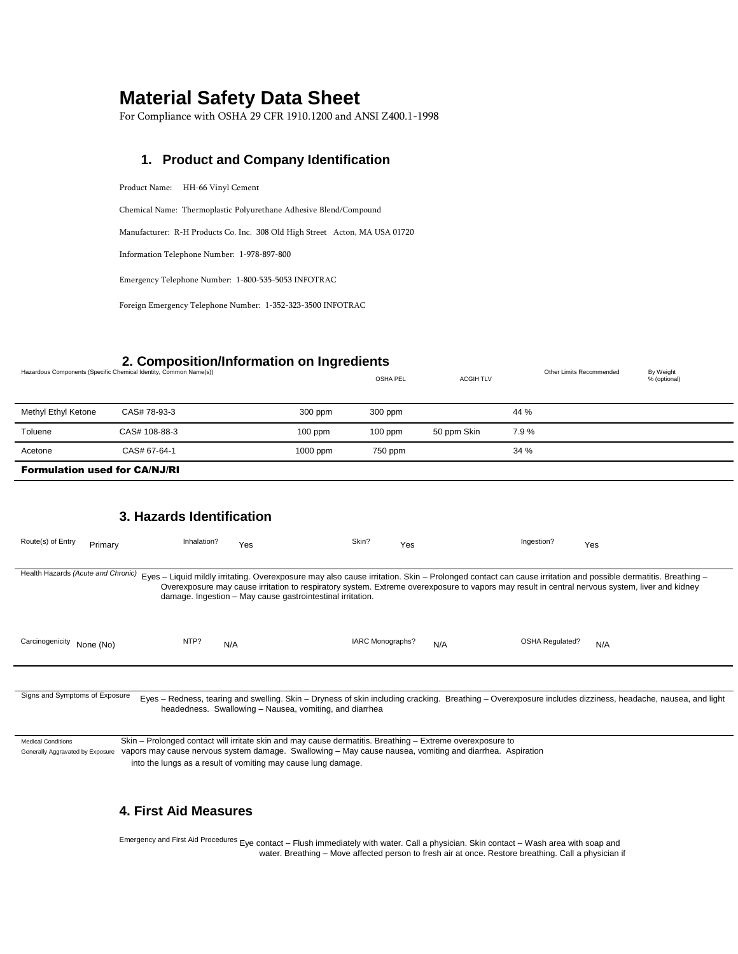# **Material Safety Data Sheet**

For Compliance with OSHA 29 CFR 1910.1200 and ANSI Z400.1-1998

#### **1. Product and Company Identification**

Product Name: HH-66 Vinyl Cement

Chemical Name: Thermoplastic Polyurethane Adhesive Blend/Compound

Manufacturer: R-H Products Co. Inc. 308 Old High Street Acton, MA USA 01720

Information Telephone Number: 1-978-897-800

Emergency Telephone Number: 1-800-535-5053 INFOTRAC

Foreign Emergency Telephone Number: 1-352-323-3500 INFOTRAC

## **2. Composition/Information on Ingredients**

| Hazardous Components (Specific Chemical Identity, Common Name(s)) |           | OSHA PEL  | <b>ACGIH TLV</b> | Other Limits Recommended | By Weight<br>% (optional) |
|-------------------------------------------------------------------|-----------|-----------|------------------|--------------------------|---------------------------|
| CAS# 78-93-3                                                      | 300 ppm   | 300 ppm   |                  | 44 %                     |                           |
| CAS# 108-88-3                                                     | $100$ ppm | $100$ ppm |                  | 7.9%                     |                           |
| CAS# 67-64-1                                                      | 1000 ppm  | 750 ppm   |                  | 34 %                     |                           |
|                                                                   |           |           |                  | 50 ppm Skin              |                           |

Formulation used for CA/NJ/RI

#### **3. Hazards Identification**

| Route(s) of Entry                                                                                                                                                                                                                                                                                                                                       | Primary | Inhalation? | Yes                                                        | Skin?            | Yes | Ingestion?             | Yes                                                                                                                                                                                                                                                                                                           |
|---------------------------------------------------------------------------------------------------------------------------------------------------------------------------------------------------------------------------------------------------------------------------------------------------------------------------------------------------------|---------|-------------|------------------------------------------------------------|------------------|-----|------------------------|---------------------------------------------------------------------------------------------------------------------------------------------------------------------------------------------------------------------------------------------------------------------------------------------------------------|
| Health Hazards (Acute and Chronic)                                                                                                                                                                                                                                                                                                                      |         |             | damage. Ingestion - May cause gastrointestinal irritation. |                  |     |                        | Eyes - Liquid mildly irritating. Overexposure may also cause irritation. Skin - Prolonged contact can cause irritation and possible dermatitis. Breathing -<br>Overexposure may cause irritation to respiratory system. Extreme overexposure to vapors may result in central nervous system, liver and kidney |
| Carcinogenicity None (No)                                                                                                                                                                                                                                                                                                                               |         | NTP?<br>N/A |                                                            | IARC Monographs? | N/A | <b>OSHA Regulated?</b> | N/A                                                                                                                                                                                                                                                                                                           |
| Signs and Symptoms of Exposure                                                                                                                                                                                                                                                                                                                          |         |             | headedness. Swallowing - Nausea, vomiting, and diarrhea    |                  |     |                        | Eyes – Redness, tearing and swelling. Skin – Dryness of skin including cracking. Breathing – Overexposure includes dizziness, headache, nausea, and light                                                                                                                                                     |
| Skin – Prolonged contact will irritate skin and may cause dermatitis. Breathing – Extreme overexposure to<br><b>Medical Conditions</b><br>vapors may cause nervous system damage. Swallowing - May cause nausea, vomiting and diarrhea. Aspiration<br>Generally Aggravated by Exposure<br>into the lungs as a result of vomiting may cause lung damage. |         |             |                                                            |                  |     |                        |                                                                                                                                                                                                                                                                                                               |

#### **4. First Aid Measures**

Emergency and First Aid Procedures Eye contact – Flush immediately with water. Call a physician. Skin contact – Wash area with soap and water. Breathing – Move affected person to fresh air at once. Restore breathing. Call a physician if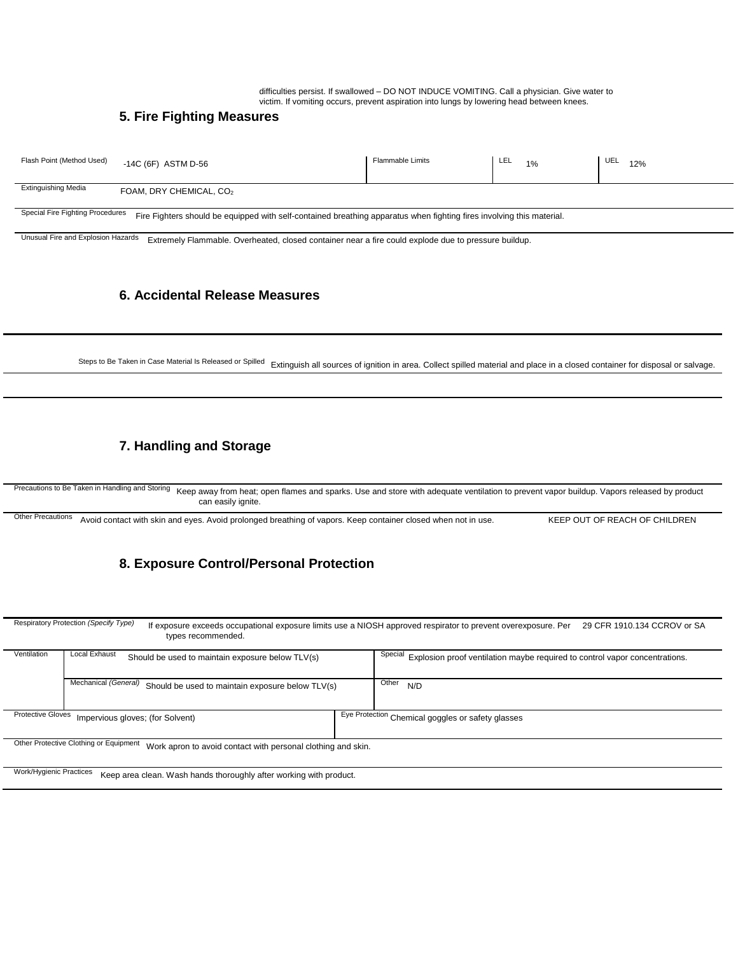difficulties persist. If swallowed – DO NOT INDUCE VOMITING. Call a physician. Give water to victim. If vomiting occurs, prevent aspiration into lungs by lowering head between knees.

#### **5. Fire Fighting Measures**

| <b>Extinguishing Media</b><br>______________ | FOAM, DRY CHEMICAL, CO2 |  |  |
|----------------------------------------------|-------------------------|--|--|

Special Fire Fighting Procedures Fire Fighters should be equipped with self-contained breathing apparatus when fighting fires involving this material.

Unusual Fire and Explosion Hazards Extremely Flammable. Overheated, closed container near a fire could explode due to pressure buildup.

#### **6. Accidental Release Measures**

Steps to Be Taken in Case Material Is Released or Spilled Extinguish all sources of ignition in area. Collect spilled material and place in a closed container for disposal or salvage.

#### **7. Handling and Storage**

Precautions to Be Taken in Handling and Storing Keep away from heat; open flames and sparks. Use and store with adequate ventilation to prevent vapor buildup. Vapors released by product can easily ignite.

Other Precautions Avoid contact with skin and eyes. Avoid prolonged breathing of vapors. Keep container closed when not in use. KEEP OUT OF REACH OF CHILDREN

## **8. Exposure Control/Personal Protection**

Respiratory Protection *(Specify Type)* If exposure exceeds occupational exposure limits use a NIOSH approved respirator to prevent overexposure. Per 29 CFR 1910.134 CCROV or SA types recommended. Ventilation Local Exhaust Should be used to maintain exposure below TLV(s) Special Explosion proof ventilation maybe required to control vapor concentrations. Mechanical *(General)* Should be used to maintain exposure below TLV(s) Other<sub>N/D</sub> Protective Gloves Impervious gloves; (for Solvent) Eye Protection Chemical goggles or safety glasses Other Protective Clothing or Equipment Work apron to avoid contact with personal clothing and skin. Work/Hygienic Practices Keep area clean. Wash hands thoroughly after working with product.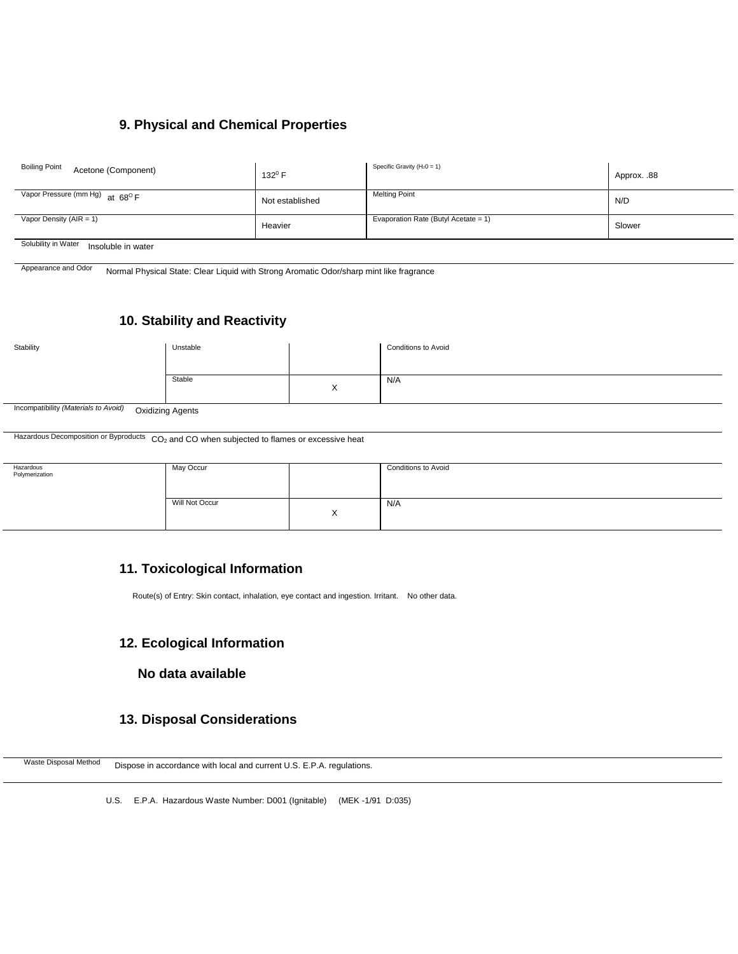# **9. Physical and Chemical Properties**

| <b>Boiling Point</b><br>Acetone (Component) | $132^{\circ}$ F | Specific Gravity ( $H_20 = 1$ )      | Approx. .88 |  |
|---------------------------------------------|-----------------|--------------------------------------|-------------|--|
| Vapor Pressure (mm Hg) at $68^{\circ}$ F    | Not established | <b>Melting Point</b>                 | N/D         |  |
| Vapor Density ( $AIR = 1$ )                 | Heavier         | Evaporation Rate (Butyl Acetate = 1) | Slower      |  |
| Solubility in Water                         |                 |                                      |             |  |

Solubility in Water Insoluble in water

Appearance and Odor Normal Physical State: Clear Liquid with Strong Aromatic Odor/sharp mint like fragrance

# **10. Stability and Reactivity**

| Stability | Unstable |                | <b>Conditions to Avoid</b> |
|-----------|----------|----------------|----------------------------|
|           |          |                |                            |
|           | Stable   | $\sqrt{}$<br>⋏ | N/A                        |
| $\sim$    |          |                |                            |

Incompatibility *(Materials to Avoid)*  Oxidizing Agents

Hazardous Decomposition or Byproducts CO<sub>2</sub> and CO when subjected to flames or excessive heat

| Hazardous<br>Polymerization | May Occur      |                        | <b>Conditions to Avoid</b> |
|-----------------------------|----------------|------------------------|----------------------------|
|                             | Will Not Occur | $\sqrt{}$<br>$\lambda$ | N/A                        |

#### **11. Toxicological Information**

Route(s) of Entry: Skin contact, inhalation, eye contact and ingestion. Irritant. No other data.

#### **12. Ecological Information**

## **No data available**

## **13. Disposal Considerations**

Waste Disposal Method Dispose in accordance with local and current U.S. E.P.A. regulations.

U.S. E.P.A. Hazardous Waste Number: D001 (Ignitable) (MEK -1/91 D:035)